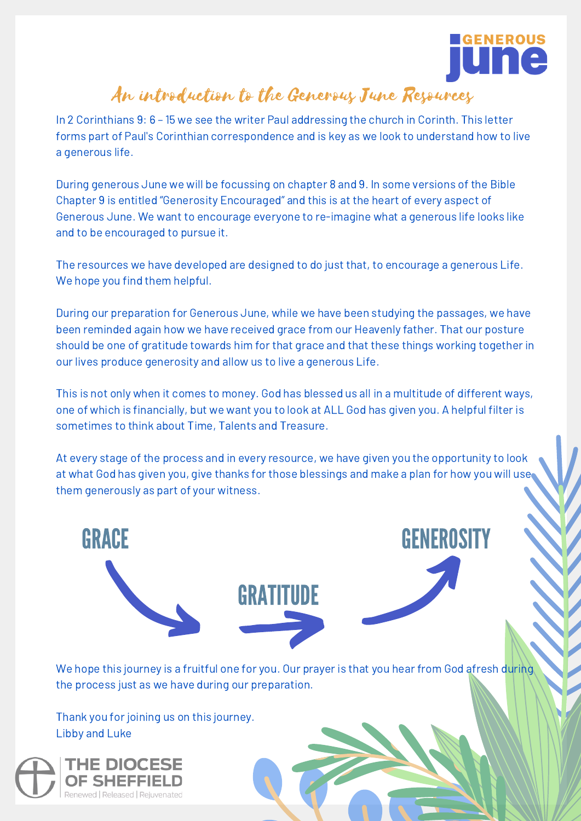

### An introduction to the Generous June Resources

In 2 Corinthians 9: 6 – 15 we see the writer Paul addressing the church in Corinth. This letter forms part of Paul's Corinthian correspondence and is key as we look to understand how to live a generous life.

During generous June we will be focussing on chapter 8 and 9. In some versions of the Bible Chapter 9 is entitled "Generosity Encouraged" and this is at the heart of every aspect of Generous June. We want to encourage everyone to re-imagine what a generous life looks like and to be encouraged to pursue it.

The resources we have developed are designed to do just that, to encourage a generous Life. We hope you find them helpful.

During our preparation for Generous June, while we have been studying the passages, we have been reminded again how we have received grace from our Heavenly father. That our posture should be one of gratitude towards him for that grace and that these things working together in our lives produce generosity and allow us to live a generous Life.

This is not only when it comes to money. God has blessed us all in a multitude of different ways, one of which is financially, but we want you to look at ALL God has given you. A helpful filter is sometimes to think about Time, Talents and Treasure.

At every stage of the process and in every resource, we have given you the opportunity to look at what God has given you, give thanks for those blessings and make a plan for how you will use them generously as part of your witness.



We hope this journey is a fruitful one for you. Our prayer is that you hear from God afresh during the process just as we have during our preparation.

Thank you for joining us on this journey. Libby and Luke

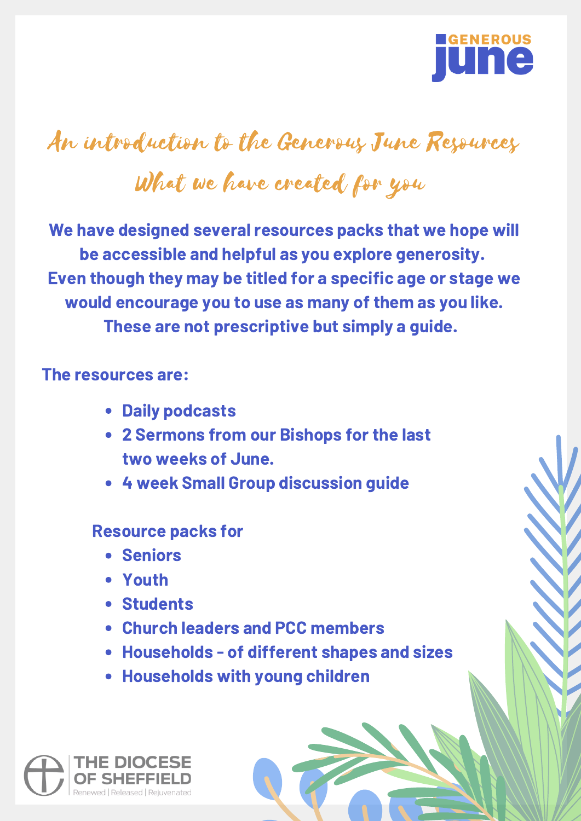

# An introduction to the Generous June Resources

# What we have created for you

We have designed several resources packs that we hope will be accessible and helpful as you explore generosity. Even though they may be titled for a specific age or stage we would encourage you to use as many of them as you like. These are not prescriptive but simply a guide.

#### The resources are:

- Daily podcasts
- 2 Sermons from our Bishops for the last two weeks of June.
- 4 week Small Group discussion guide

#### Resource packs for

- Seniors
- Youth
- Students
- Church leaders and PCC members
- Households of different shapes and sizes
- Households with young children